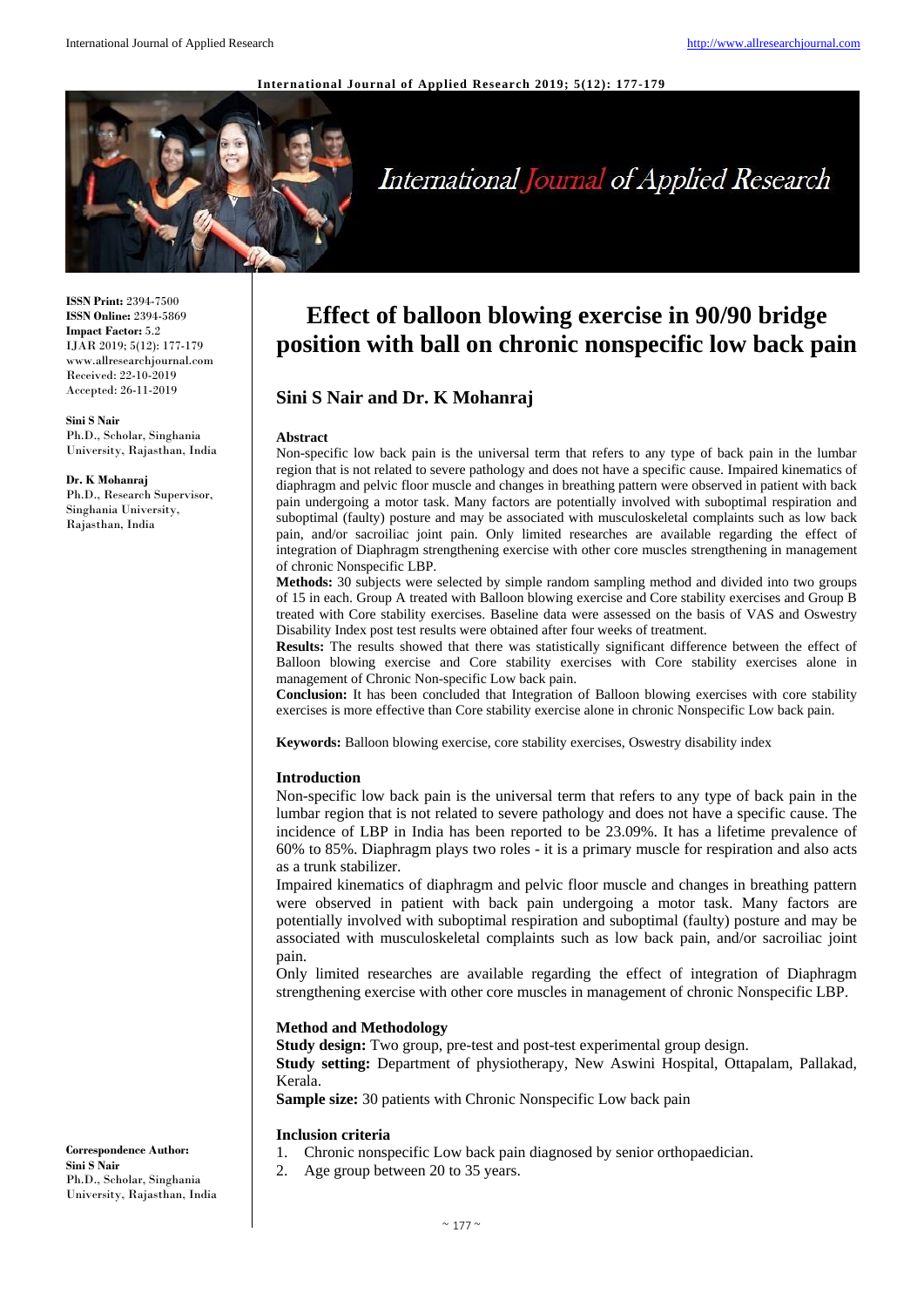#### **International Journal of Applied Research 2019; 5(12): 177-179**



# International Journal of Applied Research

**ISSN Print:** 2394-7500 **ISSN Online:** 2394-5869 **Impact Factor:** 5.2 IJAR 2019; 5(12): 177-179 www.allresearchjournal.com Received: 22-10-2019 Accepted: 26-11-2019

**Sini S Nair** Ph.D., Scholar, Singhania University, Rajasthan, India

#### **Dr. K Mohanraj**

Ph.D., Research Supervisor, Singhania University, Rajasthan, India

# **Effect of balloon blowing exercise in 90/90 bridge position with ball on chronic nonspecific low back pain**

# **Sini S Nair and Dr. K Mohanraj**

#### **Abstract**

Non-specific low back pain is the universal term that refers to any type of back pain in the lumbar region that is not related to severe pathology and does not have a specific cause. Impaired kinematics of diaphragm and pelvic floor muscle and changes in breathing pattern were observed in patient with back pain undergoing a motor task. Many factors are potentially involved with suboptimal respiration and suboptimal (faulty) posture and may be associated with musculoskeletal complaints such as low back pain, and/or sacroiliac joint pain. Only limited researches are available regarding the effect of integration of Diaphragm strengthening exercise with other core muscles strengthening in management of chronic Nonspecific LBP.

**Methods:** 30 subjects were selected by simple random sampling method and divided into two groups of 15 in each. Group A treated with Balloon blowing exercise and Core stability exercises and Group B treated with Core stability exercises. Baseline data were assessed on the basis of VAS and Oswestry Disability Index post test results were obtained after four weeks of treatment.

**Results:** The results showed that there was statistically significant difference between the effect of Balloon blowing exercise and Core stability exercises with Core stability exercises alone in management of Chronic Non-specific Low back pain.

**Conclusion:** It has been concluded that Integration of Balloon blowing exercises with core stability exercises is more effective than Core stability exercise alone in chronic Nonspecific Low back pain.

**Keywords:** Balloon blowing exercise, core stability exercises, Oswestry disability index

### **Introduction**

Non-specific low back pain is the universal term that refers to any type of back pain in the lumbar region that is not related to severe pathology and does not have a specific cause. The incidence of LBP in India has been reported to be 23.09%. It has a lifetime prevalence of 60% to 85%. Diaphragm plays two roles - it is a primary muscle for respiration and also acts as a trunk stabilizer.

Impaired kinematics of diaphragm and pelvic floor muscle and changes in breathing pattern were observed in patient with back pain undergoing a motor task. Many factors are potentially involved with suboptimal respiration and suboptimal (faulty) posture and may be associated with musculoskeletal complaints such as low back pain, and/or sacroiliac joint pain.

Only limited researches are available regarding the effect of integration of Diaphragm strengthening exercise with other core muscles in management of chronic Nonspecific LBP.

#### **Method and Methodology**

**Study design:** Two group, pre-test and post-test experimental group design. **Study setting:** Department of physiotherapy, New Aswini Hospital, Ottapalam, Pallakad, Kerala.

**Sample size:** 30 patients with Chronic Nonspecific Low back pain

#### **Inclusion criteria**

- 1. Chronic nonspecific Low back pain diagnosed by senior orthopaedician.
- 2. Age group between 20 to 35 years.

**Correspondence Author: Sini S Nair** Ph.D., Scholar, Singhania University, Rajasthan, India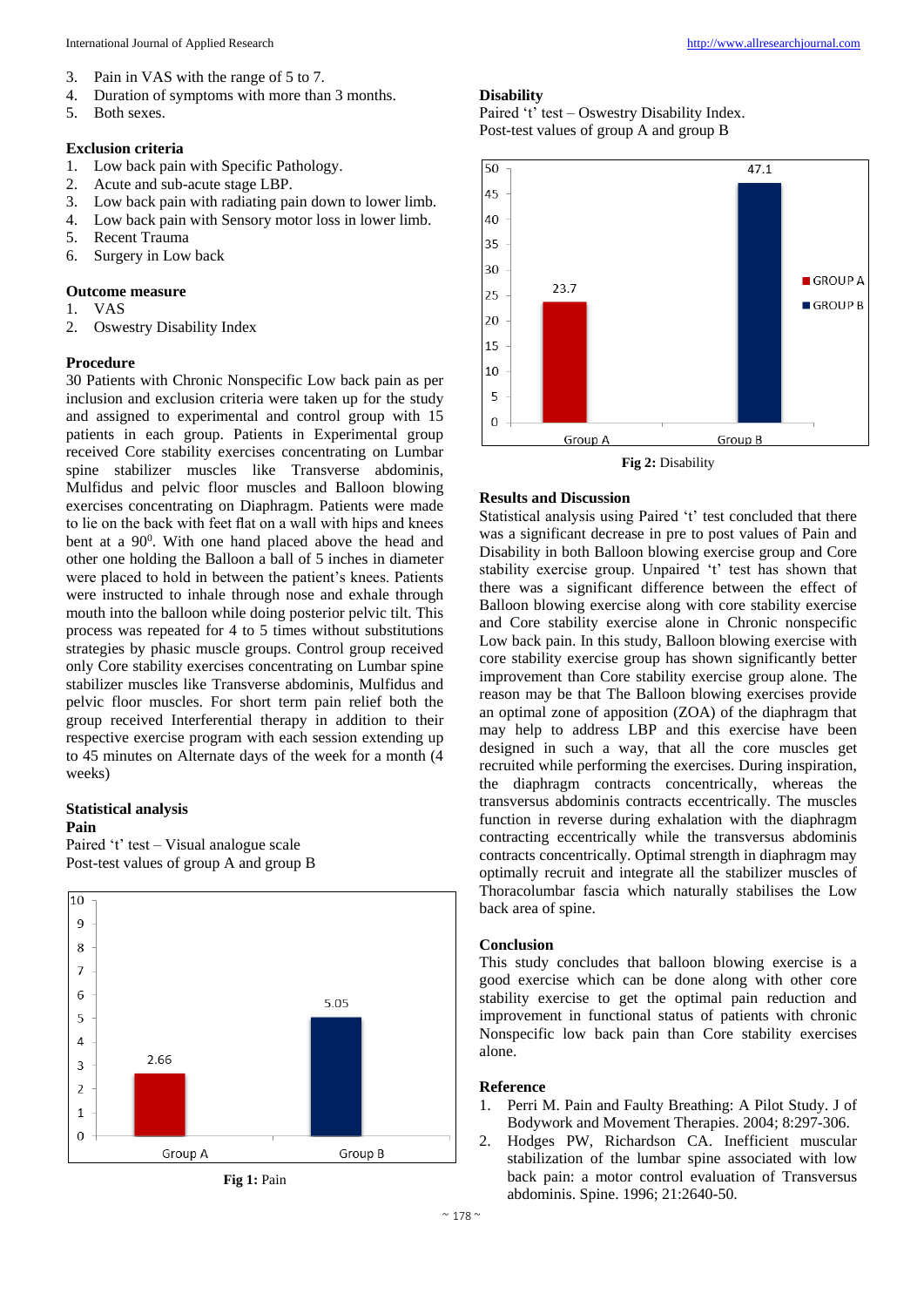- 3. Pain in VAS with the range of 5 to 7.
- 4. Duration of symptoms with more than 3 months.
- 5. Both sexes.

# **Exclusion criteria**

- 1. Low back pain with Specific Pathology.
- 2. Acute and sub-acute stage LBP.
- 3. Low back pain with radiating pain down to lower limb.
- 4. Low back pain with Sensory motor loss in lower limb.
- 5. Recent Trauma
- 6. Surgery in Low back

#### **Outcome measure**

- 1. VAS
- 2. Oswestry Disability Index

### **Procedure**

30 Patients with Chronic Nonspecific Low back pain as per inclusion and exclusion criteria were taken up for the study and assigned to experimental and control group with 15 patients in each group. Patients in Experimental group received Core stability exercises concentrating on Lumbar spine stabilizer muscles like Transverse abdominis, Mulfidus and pelvic floor muscles and Balloon blowing exercises concentrating on Diaphragm. Patients were made to lie on the back with feet flat on a wall with hips and knees bent at a 90<sup>0</sup>. With one hand placed above the head and other one holding the Balloon a ball of 5 inches in diameter were placed to hold in between the patient's knees. Patients were instructed to inhale through nose and exhale through mouth into the balloon while doing posterior pelvic tilt. This process was repeated for 4 to 5 times without substitutions strategies by phasic muscle groups. Control group received only Core stability exercises concentrating on Lumbar spine stabilizer muscles like Transverse abdominis, Mulfidus and pelvic floor muscles. For short term pain relief both the group received Interferential therapy in addition to their respective exercise program with each session extending up to 45 minutes on Alternate days of the week for a month (4 weeks)

# **Statistical analysis**

# **Pain**

Paired 't' test – Visual analogue scale Post-test values of group A and group B



**Fig 1:** Pain

# **Disability**

Paired 't' test – Oswestry Disability Index. Post-test values of group A and group B



**Fig 2:** Disability

#### **Results and Discussion**

Statistical analysis using Paired 't' test concluded that there was a significant decrease in pre to post values of Pain and Disability in both Balloon blowing exercise group and Core stability exercise group. Unpaired 't' test has shown that there was a significant difference between the effect of Balloon blowing exercise along with core stability exercise and Core stability exercise alone in Chronic nonspecific Low back pain. In this study, Balloon blowing exercise with core stability exercise group has shown significantly better improvement than Core stability exercise group alone. The reason may be that The Balloon blowing exercises provide an optimal zone of apposition (ZOA) of the diaphragm that may help to address LBP and this exercise have been designed in such a way, that all the core muscles get recruited while performing the exercises. During inspiration, the diaphragm contracts concentrically, whereas the transversus abdominis contracts eccentrically. The muscles function in reverse during exhalation with the diaphragm contracting eccentrically while the transversus abdominis contracts concentrically. Optimal strength in diaphragm may optimally recruit and integrate all the stabilizer muscles of Thoracolumbar fascia which naturally stabilises the Low back area of spine.

#### **Conclusion**

This study concludes that balloon blowing exercise is a good exercise which can be done along with other core stability exercise to get the optimal pain reduction and improvement in functional status of patients with chronic Nonspecific low back pain than Core stability exercises alone.

#### **Reference**

- 1. Perri M. Pain and Faulty Breathing: A Pilot Study. J of Bodywork and Movement Therapies. 2004; 8:297-306.
- 2. Hodges PW, Richardson CA. Inefficient muscular stabilization of the lumbar spine associated with low back pain: a motor control evaluation of Transversus abdominis. Spine. 1996; 21:2640-50.